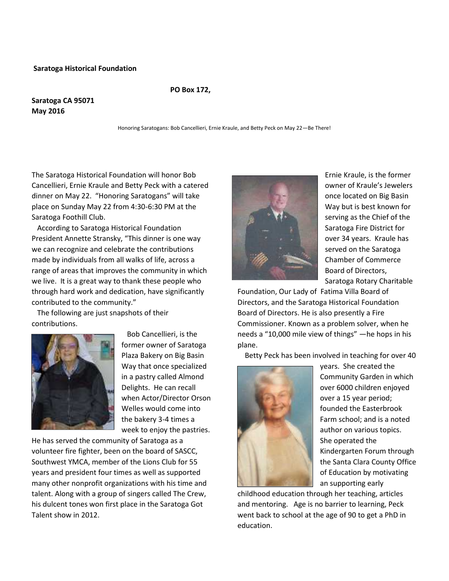#### **Saratoga Historical Foundation**

#### **PO Box 172,**

### **Saratoga CA 95071 May 2016**

Honoring Saratogans: Bob Cancellieri, Ernie Kraule, and Betty Peck on May 22—Be There!

The Saratoga Historical Foundation will honor Bob Cancellieri, Ernie Kraule and Betty Peck with a catered dinner on May 22. "Honoring Saratogans" will take place on Sunday May 22 from 4:30-6:30 PM at the Saratoga Foothill Club.

According to Saratoga Historical Foundation President Annette Stransky, "This dinner is one way we can recognize and celebrate the contributions made by individuals from all walks of life, across a range of areas that improves the community in which we live. It is a great way to thank these people who through hard work and dedication, have significantly contributed to the community."

The following are just snapshots of their contributions.



Bob Cancellieri, is the former owner of Saratoga Plaza Bakery on Big Basin Way that once specialized in a pastry called Almond Delights. He can recall when Actor/Director Orson Welles would come into the bakery 3-4 times a week to enjoy the pastries.

He has served the community of Saratoga as a volunteer fire fighter, been on the board of SASCC, Southwest YMCA, member of the Lions Club for 55 years and president four times as well as supported many other nonprofit organizations with his time and talent. Along with a group of singers called The Crew, his dulcent tones won first place in the Saratoga Got Talent show in 2012.



Ernie Kraule, is the former owner of Kraule's Jewelers once located on Big Basin Way but is best known for serving as the Chief of the Saratoga Fire District for over 34 years. Kraule has served on the Saratoga Chamber of Commerce Board of Directors, Saratoga Rotary Charitable

Foundation, Our Lady of Fatima Villa Board of Directors, and the Saratoga Historical Foundation Board of Directors. He is also presently a Fire Commissioner. Known as a problem solver, when he needs a "10,000 mile view of things" —he hops in his plane.

Betty Peck has been involved in teaching for over 40



years. She created the Community Garden in which over 6000 children enjoyed over a 15 year period; founded the Easterbrook Farm school; and is a noted author on various topics. She operated the Kindergarten Forum through the Santa Clara County Office of Education by motivating an supporting early

childhood education through her teaching, articles and mentoring. Age is no barrier to learning, Peck went back to school at the age of 90 to get a PhD in education.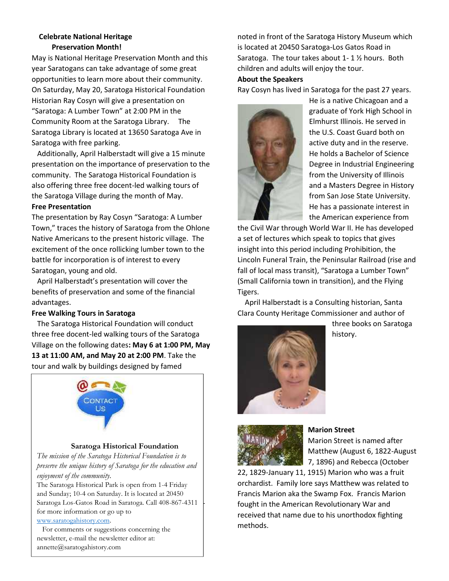### **Celebrate National Heritage Preservation Month!**

May is National Heritage Preservation Month and this year Saratogans can take advantage of some great opportunities to learn more about their community. On Saturday, May 20, Saratoga Historical Foundation Historian Ray Cosyn will give a presentation on "Saratoga: A Lumber Town" at 2:00 PM in the Community Room at the Saratoga Library. The Saratoga Library is located at 13650 Saratoga Ave in Saratoga with free parking.

Additionally, April Halberstadt will give a 15 minute presentation on the importance of preservation to the community. The Saratoga Historical Foundation is also offering three free docent-led walking tours of the Saratoga Village during the month of May.

### **Free Presentation**

The presentation by Ray Cosyn "Saratoga: A Lumber Town," traces the history of Saratoga from the Ohlone Native Americans to the present historic village. The excitement of the once rollicking lumber town to the battle for incorporation is of interest to every Saratogan, young and old.

April Halberstadt's presentation will cover the benefits of preservation and some of the financial advantages.

## **Free Walking Tours in Saratoga**

The Saratoga Historical Foundation will conduct three free docent-led walking tours of the Saratoga Village on the following dates**: May 6 at 1:00 PM, May 13 at 11:00 AM, and May 20 at 2:00 PM**. Take the tour and walk by buildings designed by famed



## **Saratoga Historical Foundation**

*The mission of the Saratoga Historical Foundation is to preserve the unique history of Saratoga for the education and enjoyment of the community.*

and Sunday; 10-4 on Saturday. It is located at 20450 Saratoga Los-Gatos Road in Saratoga. Call 408-867-4311 for more information or go up to The Saratoga Historical Park is open from 1-4 Friday www.saratogahistory.com.

# www.saratoganistory.com.<br>For comments or suggestions concerning the not comments or expectable concerning are<br>newsletter, e-mail the newsletter editor at:

annette@saratogahistory.com

noted in front of the Saratoga History Museum which is located at 20450 Saratoga-Los Gatos Road in Saratoga. The tour takes about 1- 1 ½ hours. Both children and adults will enjoy the tour.

### **About the Speakers**

Ray Cosyn has lived in Saratoga for the past 27 years.



He is a native Chicagoan and a graduate of York High School in Elmhurst Illinois. He served in the U.S. Coast Guard both on active duty and in the reserve. He holds a Bachelor of Science Degree in Industrial Engineering from the University of Illinois and a Masters Degree in History from San Jose State University. He has a passionate interest in the American experience from

the Civil War through World War II. He has developed a set of lectures which speak to topics that gives insight into this period including Prohibition, the Lincoln Funeral Train, the Peninsular Railroad (rise and fall of local mass transit), "Saratoga a Lumber Town" (Small California town in transition), and the Flying Tigers.

April Halberstadt is a Consulting historian, Santa Clara County Heritage Commissioner and author of



three books on Saratoga history.



# **Marion Street**

Marion Street is named after Matthew (August 6, 1822-August 7, 1896) and Rebecca (October

22, 1829-January 11, 1915) Marion who was a fruit orchardist. Family lore says Matthew was related to Francis Marion aka the Swamp Fox. Francis Marion fought in the American Revolutionary War and received that name due to his unorthodox fighting methods.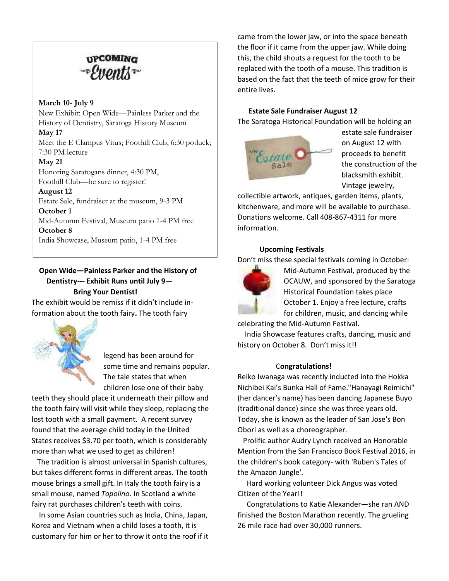

### **March 10- July 9**

New Exhibit: Open Wide—Painless Parker and the History of Dentistry, Saratoga History Museum **May 17** Meet the E Clampus Vitus; Foothill Club, 6:30 potluck; 7:30 PM lecture **May 21**

Honoring Saratogans dinner, 4:30 PM, Foothill Club—be sure to register!

**August 12**

Estate Sale, fundraiser at the museum, 9-3 PM **October 1**

Mid-Autumn Festival, Museum patio 1-4 PM free

**October 8**

India Showcase, Museum patio, 1-4 PM free

# **Open Wide—Painless Parker and the History of Dentistry--- Exhibit Runs until July 9— Bring Your Dentist!**

The exhibit would be remiss if it didn't include information about the tooth fairy**.** The tooth fairy



legend has been around for some time and remains popular. The tale states that when children lose one of their baby

teeth they should place it underneath their pillow and the tooth fairy will visit while they sleep, replacing the lost tooth with a small payment. A recent survey found that the average child today in the United States receives \$3.70 per tooth, which is considerably more than what we used to get as children!

The tradition is almost universal in Spanish cultures, but takes different forms in different areas. The tooth mouse brings a small gift. In Italy the tooth fairy is a small mouse, named *Topolino*. In Scotland a white fairy rat purchases children's teeth with coins.

In some Asian countries such as India, China, Japan, Korea and Vietnam when a child loses a tooth, it is customary for him or her to throw it onto the roof if it came from the lower jaw, or into the space beneath the floor if it came from the upper jaw. While doing this, the child shouts a request for the tooth to be replaced with the tooth of a mouse. This tradition is based on the fact that the teeth of mice grow for their entire lives.

### **Estate Sale Fundraiser August 12**

The Saratoga Historical Foundation will be holding an



estate sale fundraiser on August 12 with proceeds to benefit the construction of the blacksmith exhibit. Vintage jewelry,

collectible artwork, antiques, garden items, plants, kitchenware, and more will be available to purchase. Donations welcome. Call 408-867-4311 for more information.

#### **Upcoming Festivals**

Don't miss these special festivals coming in October:



Mid-Autumn Festival, produced by the OCAUW, and sponsored by the Saratoga Historical Foundation takes place October 1. Enjoy a free lecture, crafts for children, music, and dancing while

celebrating the Mid-Autumn Festival.

India Showcase features crafts, dancing, music and history on October 8. Don't miss it!!

### C**ongratulations!**

Reiko Iwanaga was recently inducted into the Hokka Nichibei Kai's Bunka Hall of Fame."Hanayagi Reimichi" (her dancer's name) has been dancing Japanese Buyo (traditional dance) since she was three years old. Today, she is known as the leader of San Jose's Bon Obori as well as a choreographer.

Prolific author Audry Lynch received an Honorable Mention from the San Francisco Book Festival 2016, in the children's book category- with 'Ruben's Tales of the Amazon Jungle'.

Hard working volunteer Dick Angus was voted Citizen of the Year!!

Congratulations to Katie Alexander—she ran AND finished the Boston Marathon recently. The grueling 26 mile race had over 30,000 runners.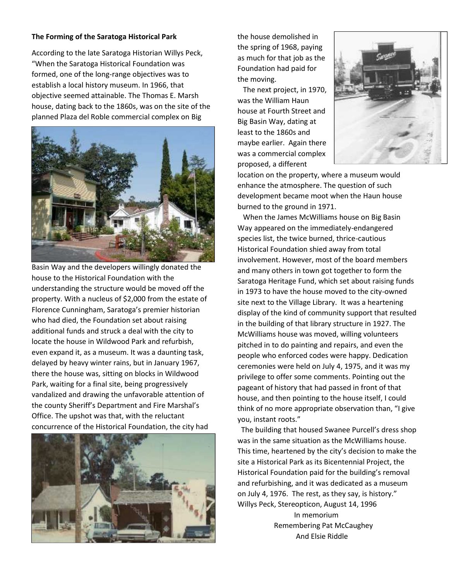### **The Forming of the Saratoga Historical Park**

According to the late Saratoga Historian Willys Peck, "When the Saratoga Historical Foundation was formed, one of the long-range objectives was to establish a local history museum. In 1966, that objective seemed attainable. The Thomas E. Marsh house, dating back to the 1860s, was on the site of the planned Plaza del Roble commercial complex on Big



Basin Way and the developers willingly donated the house to the Historical Foundation with the understanding the structure would be moved off the property. With a nucleus of \$2,000 from the estate of Florence Cunningham, Saratoga's premier historian who had died, the Foundation set about raising additional funds and struck a deal with the city to locate the house in Wildwood Park and refurbish, even expand it, as a museum. It was a daunting task, delayed by heavy winter rains, but in January 1967, there the house was, sitting on blocks in Wildwood Park, waiting for a final site, being progressively vandalized and drawing the unfavorable attention of the county Sheriff's Department and Fire Marshal's Office. The upshot was that, with the reluctant concurrence of the Historical Foundation, the city had



the house demolished in the spring of 1968, paying as much for that job as the Foundation had paid for the moving.

The next project, in 1970, was the William Haun house at Fourth Street and Big Basin Way, dating at least to the 1860s and maybe earlier. Again there was a commercial complex proposed, a different



location on the property, where a museum would enhance the atmosphere. The question of such development became moot when the Haun house burned to the ground in 1971.

When the James McWilliams house on Big Basin Way appeared on the immediately-endangered species list, the twice burned, thrice-cautious Historical Foundation shied away from total involvement. However, most of the board members and many others in town got together to form the Saratoga Heritage Fund, which set about raising funds in 1973 to have the house moved to the city-owned site next to the Village Library. It was a heartening display of the kind of community support that resulted in the building of that library structure in 1927. The McWilliams house was moved, willing volunteers pitched in to do painting and repairs, and even the people who enforced codes were happy. Dedication ceremonies were held on July 4, 1975, and it was my privilege to offer some comments. Pointing out the pageant of history that had passed in front of that house, and then pointing to the house itself, I could think of no more appropriate observation than, "I give you, instant roots."

The building that housed Swanee Purcell's dress shop was in the same situation as the McWilliams house. This time, heartened by the city's decision to make the site a Historical Park as its Bicentennial Project, the Historical Foundation paid for the building's removal and refurbishing, and it was dedicated as a museum on July 4, 1976. The rest, as they say, is history." Willys Peck, Stereopticon, August 14, 1996

> In memorium Remembering Pat McCaughey And Elsie Riddle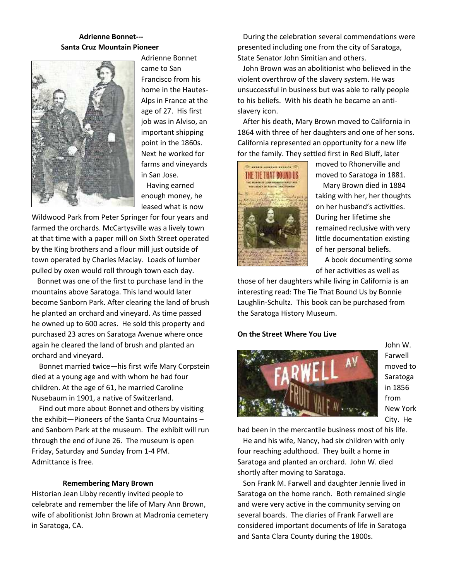## **Adrienne Bonnet--- Santa Cruz Mountain Pioneer**



Adrienne Bonnet came to San Francisco from his home in the Hautes- Alps in France at the age of 27. His first job was in Alviso, an important shipping point in the 1860s. Next he worked for farms and vineyards in San Jose.

Having earned enough money, he leased what is now

Wildwood Park from Peter Springer for four years and farmed the orchards. McCartysville was a lively town at that time with a paper mill on Sixth Street operated by the King brothers and a flour mill just outside of town operated by Charles Maclay. Loads of lumber pulled by oxen would roll through town each day.

Bonnet was one of the first to purchase land in the mountains above Saratoga. This land would later become Sanborn Park. After clearing the land of brush he planted an orchard and vineyard. As time passed he owned up to 600 acres. He sold this property and purchased 23 acres on Saratoga Avenue where once again he cleared the land of brush and planted an orchard and vineyard.

Bonnet married twice—his first wife Mary Corpstein died at a young age and with whom he had four children. At the age of 61, he married Caroline Nusebaum in 1901, a native of Switzerland.

Find out more about Bonnet and others by visiting the exhibit—Pioneers of the Santa Cruz Mountains – and Sanborn Park at the museum. The exhibit will run through the end of June 26. The museum is open Friday, Saturday and Sunday from 1-4 PM. Admittance is free.

### **Remembering Mary Brown**

Historian Jean Libby recently invited people to celebrate and remember the life of Mary Ann Brown, wife of abolitionist John Brown at Madronia cemetery in Saratoga, CA.

During the celebration several commendations were presented including one from the city of Saratoga, State Senator John Simitian and others.

John Brown was an abolitionist who believed in the violent overthrow of the slavery system. He was unsuccessful in business but was able to rally people to his beliefs. With his death he became an anti slavery icon.

After his death, Mary Brown moved to California in 1864 with three of her daughters and one of her sons. California represented an opportunity for a new life for the family. They settled first in Red Bluff, later



moved to Rhonerville and moved to Saratoga in 1881.

Mary Brown died in 1884 taking with her, her thoughts on her husband's activities. During her lifetime she remained reclusive with very little documentation existing of her personal beliefs.

A book documenting some of her activities as well as

those of her daughters while living in California is an interesting read: The Tie That Bound Us by Bonnie Laughlin-Schultz. This book can be purchased from the Saratoga History Museum.

#### **On the Street Where You Live**



John W. Farwell moved to Saratoga in 1856 from New York City. He

had been in the mercantile business most of his life.

He and his wife, Nancy, had six children with only four reaching adulthood. They built a home in Saratoga and planted an orchard. John W. died shortly after moving to Saratoga.

Son Frank M. Farwell and daughter Jennie lived in Saratoga on the home ranch. Both remained single and were very active in the community serving on several boards. The diaries of Frank Farwell are considered important documents of life in Saratoga and Santa Clara County during the 1800s.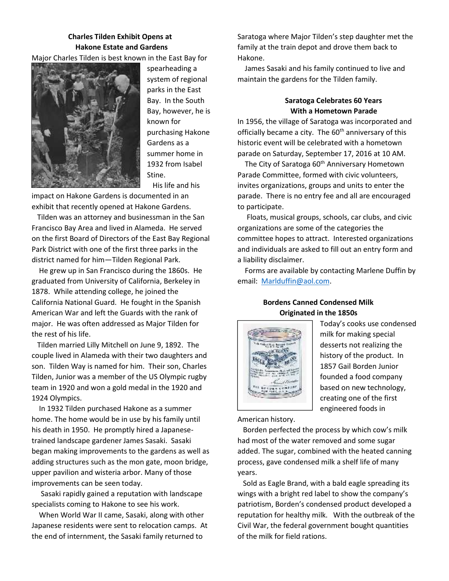# **Charles Tilden Exhibit Opens at Hakone Estate and Gardens**

Major Charles Tilden is best known in the East Bay for



spearheading a system of regional parks in the East Bay. In the South Bay, however, he is known for purchasing Hakone Gardens as a summer home in 1932 from Isabel Stine. His life and his

impact on Hakone Gardens is documented in an exhibit that recently opened at Hakone Gardens.

Tilden was an attorney and businessman in the San Francisco Bay Area and lived in Alameda. He served on the first Board of Directors of the East Bay Regional Park District with one of the first three parks in the district named for him—Tilden Regional Park.

He grew up in San Francisco during the 1860s. He graduated from University of California, Berkeley in 1878. While attending college, he joined the California National Guard. He fought in the Spanish American War and left the Guards with the rank of major. He was often addressed as Major Tilden for the rest of his life.

Tilden married Lilly Mitchell on June 9, 1892. The couple lived in Alameda with their two daughters and son. Tilden Way is named for him. Their son, Charles Tilden, Junior was a member of the US Olympic rugby team in 1920 and won a gold medal in the 1920 and 1924 Olympics.

In 1932 Tilden purchased Hakone as a summer home. The home would be in use by his family until his death in 1950. He promptly hired a Japanese trained landscape gardener James Sasaki. Sasaki began making improvements to the gardens as well as adding structures such as the mon gate, moon bridge, upper pavilion and wisteria arbor. Many of those improvements can be seen today.

Sasaki rapidly gained a reputation with landscape specialists coming to Hakone to see his work.

When World War II came, Sasaki, along with other Japanese residents were sent to relocation camps. At the end of internment, the Sasaki family returned to

Saratoga where Major Tilden's step daughter met the family at the train depot and drove them back to Hakone.

James Sasaki and his family continued to live and maintain the gardens for the Tilden family.

## **Saratoga Celebrates 60 Years With a Hometown Parade**

In 1956, the village of Saratoga was incorporated and officially became a city. The  $60<sup>th</sup>$  anniversary of this historic event will be celebrated with a hometown parade on Saturday, September 17, 2016 at 10 AM.

The City of Saratoga 60<sup>th</sup> Anniversary Hometown Parade Committee, formed with civic volunteers, invites organizations, groups and units to enter the parade. There is no entry fee and all are encouraged to participate.

Floats, musical groups, schools, car clubs, and civic organizations are some of the categories the committee hopes to attract. Interested organizations and individuals are asked to fill out an entry form and a liability disclaimer.

Forms are available by contacting Marlene Duffin by email: Marlduffin@aol.com.

### **Bordens Canned Condensed Milk Originated in the 1850s**



Today's cooks use condensed milk for making special desserts not realizing the history of the product. In 1857 Gail Borden Junior founded a food company based on new technology, creating one of the first engineered foods in

American history.

Borden perfected the process by which cow's milk had most of the water removed and some sugar added. The sugar, combined with the heated canning process, gave condensed milk a shelf life of many years.

Sold as Eagle Brand, with a bald eagle spreading its wings with a bright red label to show the company's patriotism, Borden's condensed product developed a reputation for healthy milk. With the outbreak of the Civil War, the federal government bought quantities of the milk for field rations.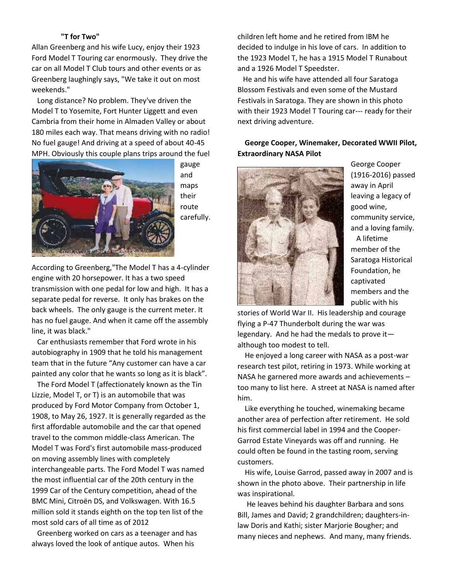### **"T for Two"**

Allan Greenberg and his wife Lucy, enjoy their 1923 Ford Model T Touring car enormously. They drive the car on all Model T Club tours and other events or as Greenberg laughingly says, "We take it out on most weekends."

Long distance? No problem. They've driven the Model T to Yosemite, Fort Hunter Liggett and even Cambria from their home in Almaden Valley or about 180 miles each way. That means driving with no radio! No fuel gauge! And driving at a speed of about 40-45 MPH. Obviously this couple plans trips around the fuel



gauge and maps their route carefully.

According to Greenberg,"The Model T has a 4-cylinder engine with 20 horsepower. It has a two speed transmission with one pedal for low and high. It has a separate pedal for reverse. It only has brakes on the back wheels. The only gauge is the current meter. It has no fuel gauge. And when it came off the assembly line, it was black."

Car enthusiasts remember that Ford wrote in his autobiography in 1909 that he told his management team that in the future "Any customer can have a car painted any color that he wants so long as it is black".

The Ford Model T (affectionately known as the Tin Lizzie, Model T, or T) is an automobile that was produced by Ford Motor Company from October 1, 1908, to May 26, 1927. It is generally regarded as the first affordable automobile and the car that opened travel to the common middle-class American. The Model T was Ford's first automobile mass-produced on moving assembly lines with completely interchangeable parts. The Ford Model T was named the most influential car of the 20th century in the 1999 Car of the Century competition, ahead of the BMC Mini, Citroën DS, and Volkswagen. With 16.5 million sold it stands eighth on the top ten list of the most sold cars of all time as of 2012

Greenberg worked on cars as a teenager and has always loved the look of antique autos. When his

children left home and he retired from IBM he decided to indulge in his love of cars. In addition to the 1923 Model T, he has a 1915 Model T Runabout and a 1926 Model T Speedster.

He and his wife have attended all four Saratoga Blossom Festivals and even some of the Mustard Festivals in Saratoga. They are shown in this photo with their 1923 Model T Touring car--- ready for their next driving adventure.

# **George Cooper, Winemaker, Decorated WWII Pilot, Extraordinary NASA Pilot**



George Cooper (1916-2016) passed away in April leaving a legacy of good wine, community service, and a loving family. A lifetime member of the Saratoga Historical Foundation, he captivated members and the public with his

stories of World War II. His leadership and courage flying a P-47 Thunderbolt during the war was legendary. And he had the medals to prove it although too modest to tell.

He enjoyed a long career with NASA as a post-war research test pilot, retiring in 1973. While working at NASA he garnered more awards and achievements – too many to list here. A street at NASA is named after him.

Like everything he touched, winemaking became another area of perfection after retirement. He sold his first commercial label in 1994 and the Cooper- Garrod Estate Vineyards was off and running. He could often be found in the tasting room, serving customers.

His wife, Louise Garrod, passed away in 2007 and is shown in the photo above. Their partnership in life was inspirational.

He leaves behind his daughter Barbara and sons Bill, James and David; 2 grandchildren; daughters-inlaw Doris and Kathi; sister Marjorie Bougher; and many nieces and nephews. And many, many friends.